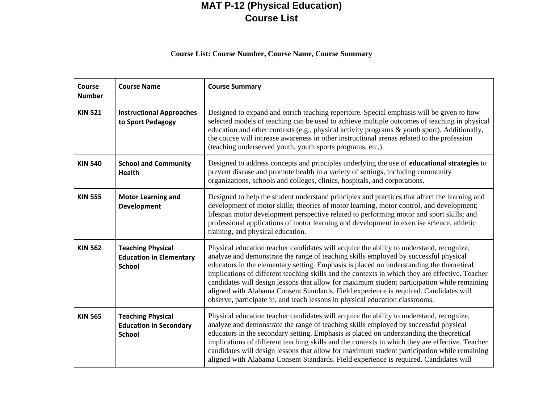## **MAT P-12 (Physical Education) Course List**

## **Course List: Course Number, Course Name, Course Summary**

| Course<br><b>Number</b> | <b>Course Name</b>                                                          | <b>Course Summary</b>                                                                                                                                                                                                                                                                                                                                                                                                                                                                                                                                                                                                                                   |
|-------------------------|-----------------------------------------------------------------------------|---------------------------------------------------------------------------------------------------------------------------------------------------------------------------------------------------------------------------------------------------------------------------------------------------------------------------------------------------------------------------------------------------------------------------------------------------------------------------------------------------------------------------------------------------------------------------------------------------------------------------------------------------------|
| <b>KIN 521</b>          | <b>Instructional Approaches</b><br>to Sport Pedagogy                        | Designed to expand and enrich teaching repertoire. Special emphasis will be given to how<br>selected models of teaching can be used to achieve multiple outcomes of teaching in physical<br>education and other contexts (e.g., physical activity programs & youth sport). Additionally,<br>the course will increase awareness in other instructional arenas related to the profession<br>(teaching underserved youth, youth sports programs, etc.).                                                                                                                                                                                                    |
| <b>KIN 540</b>          | <b>School and Community</b><br><b>Health</b>                                | Designed to address concepts and principles underlying the use of <b>educational strategies</b> to<br>prevent disease and promote health in a variety of settings, including community<br>organizations, schools and colleges, clinics, hospitals, and corporations.                                                                                                                                                                                                                                                                                                                                                                                    |
| <b>KIN 555</b>          | <b>Motor Learning and</b><br><b>Development</b>                             | Designed to help the student understand principles and practices that affect the learning and<br>development of motor skills; theories of motor learning, motor control, and development;<br>lifespan motor development perspective related to performing motor and sport skills; and<br>professional applications of motor learning and development in exercise science, athletic<br>training, and physical education.                                                                                                                                                                                                                                 |
| <b>KIN 562</b>          | <b>Teaching Physical</b><br><b>Education in Elementary</b><br><b>School</b> | Physical education teacher candidates will acquire the ability to understand, recognize,<br>analyze and demonstrate the range of teaching skills employed by successful physical<br>educators in the elementary setting. Emphasis is placed on understanding the theoretical<br>implications of different teaching skills and the contexts in which they are effective. Teacher<br>candidates will design lessons that allow for maximum student participation while remaining<br>aligned with Alabama Consent Standards. Field experience is required. Candidates will<br>observe, participate in, and teach lessons in physical education classrooms. |
| <b>KIN 565</b>          | <b>Teaching Physical</b><br><b>Education in Secondary</b><br><b>School</b>  | Physical education teacher candidates will acquire the ability to understand, recognize,<br>analyze and demonstrate the range of teaching skills employed by successful physical<br>educators in the secondary setting. Emphasis is placed on understanding the theoretical<br>implications of different teaching skills and the contexts in which they are effective. Teacher<br>candidates will design lessons that allow for maximum student participation while remaining<br>aligned with Alabama Consent Standards. Field experience is required. Candidates will                                                                                  |